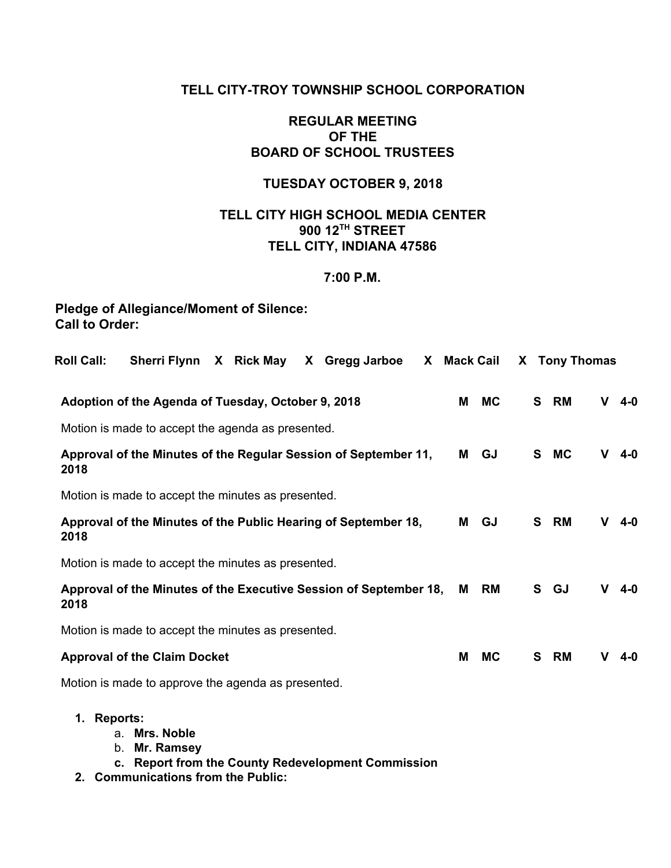# **TELL CITY-TROY TOWNSHIP SCHOOL CORPORATION**

# **REGULAR MEETING OF THE BOARD OF SCHOOL TRUSTEES**

# **TUESDAY OCTOBER 9, 2018**

# **TELL CITY HIGH SCHOOL MEDIA CENTER 900 12TH STREET TELL CITY, INDIANA 47586**

# **7:00 P.M.**

# **Pledge of Allegiance/Moment of Silence: Call to Order:**

| Sherri Flynn X Rick May<br><b>Roll Call:</b><br>X Gregg Jarboe            | X Mack Cail |           |   | X Tony Thomas |   |         |
|---------------------------------------------------------------------------|-------------|-----------|---|---------------|---|---------|
| Adoption of the Agenda of Tuesday, October 9, 2018                        | М           | <b>MC</b> | S | RM            | v | $4 - 0$ |
| Motion is made to accept the agenda as presented.                         |             |           |   |               |   |         |
| Approval of the Minutes of the Regular Session of September 11,<br>2018   | М           | GJ        | S | <b>MC</b>     | v | $4 - 0$ |
| Motion is made to accept the minutes as presented.                        |             |           |   |               |   |         |
| Approval of the Minutes of the Public Hearing of September 18,<br>2018    | М           | GJ        |   | S RM          | v | 4-0     |
| Motion is made to accept the minutes as presented.                        |             |           |   |               |   |         |
| Approval of the Minutes of the Executive Session of September 18,<br>2018 | м           | RM        |   | S GJ          | v | $4 - 0$ |
| Motion is made to accept the minutes as presented.                        |             |           |   |               |   |         |
| <b>Approval of the Claim Docket</b>                                       | Μ           | <b>MC</b> | S | RM            | v | 4-0     |
| Motion is made to approve the agenda as presented.                        |             |           |   |               |   |         |

- **1. Reports:**
	- a. **Mrs. Noble**
	- b. **Mr. Ramsey**
	- **c. Report from the County Redevelopment Commission**
- **2. Communications from the Public:**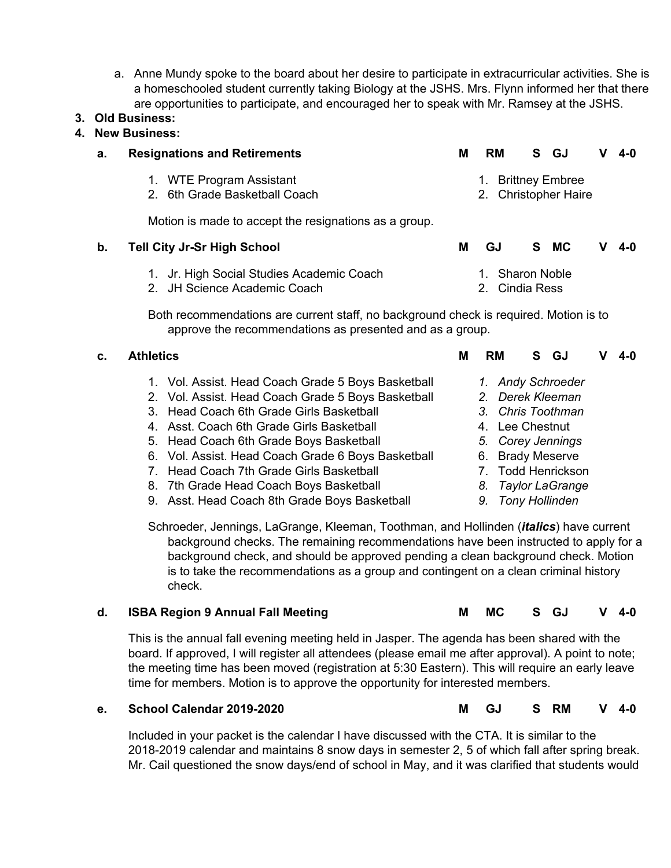a. Anne Mundy spoke to the board about her desire to participate in extracurricular activities. She is a homeschooled student currently taking Biology at the JSHS. Mrs. Flynn informed her that there are opportunities to participate, and encouraged her to speak with Mr. Ramsey at the JSHS.

# **3. Old Business:**

# **4. New Business:**

| а. | <b>Resignations and Retirements</b>                   | М | RM                   |  | S GJ |  | $V$ 4-0 |  |  |
|----|-------------------------------------------------------|---|----------------------|--|------|--|---------|--|--|
|    | 1. WTE Program Assistant                              |   | 1. Brittney Embree   |  |      |  |         |  |  |
|    | 2. 6th Grade Basketball Coach                         |   | 2. Christopher Haire |  |      |  |         |  |  |
|    | Motion is made to accept the resignations as a group. |   |                      |  |      |  |         |  |  |

| b. | <b>Tell City Jr-Sr High School</b>        | GJ.            |                 | S MC |  | $V$ 4-0 |  |  |
|----|-------------------------------------------|----------------|-----------------|------|--|---------|--|--|
|    | 1. Jr. High Social Studies Academic Coach |                | 1. Sharon Noble |      |  |         |  |  |
|    | 2. JH Science Academic Coach              | 2. Cindia Ress |                 |      |  |         |  |  |

2. JH Science Academic Coach

Both recommendations are current staff, no background check is required. Motion is to approve the recommendations as presented and as a group.

> *1. Andy Schroeder 2. Derek Kleeman 3. Chris Toothman* 4. Lee Chestnut *5. Corey Jennings* 6. Brady Meserve 7. Todd Henrickson *8. Taylor LaGrange 9. Tony Hollinden*

# **c. Athletics M RM S GJ V 4-0** 1. Vol. Assist. Head Coach Grade 5 Boys Basketball

- 2. Vol. Assist. Head Coach Grade 5 Boys Basketball
- 3. Head Coach 6th Grade Girls Basketball
- 4. Asst. Coach 6th Grade Girls Basketball
- 5. Head Coach 6th Grade Boys Basketball
- 6. Vol. Assist. Head Coach Grade 6 Boys Basketball
- 7. Head Coach 7th Grade Girls Basketball
- 8. 7th Grade Head Coach Boys Basketball
- 9. Asst. Head Coach 8th Grade Boys Basketball

Schroeder, Jennings, LaGrange, Kleeman, Toothman, and Hollinden (*italics*) have current background checks. The remaining recommendations have been instructed to apply for a background check, and should be approved pending a clean background check. Motion is to take the recommendations as a group and contingent on a clean criminal history check.

# **d. ISBA Region 9 Annual Fall Meeting M MC S GJ V 4-0**

This is the annual fall evening meeting held in Jasper. The agenda has been shared with the board. If approved, I will register all attendees (please email me after approval). A point to note; the meeting time has been moved (registration at 5:30 Eastern). This will require an early leave time for members. Motion is to approve the opportunity for interested members.

#### **e. School Calendar 2019-2020 M GJ S RM V 4-0**

Included in your packet is the calendar I have discussed with the CTA. It is similar to the 2018-2019 calendar and maintains 8 snow days in semester 2, 5 of which fall after spring break. Mr. Cail questioned the snow days/end of school in May, and it was clarified that students would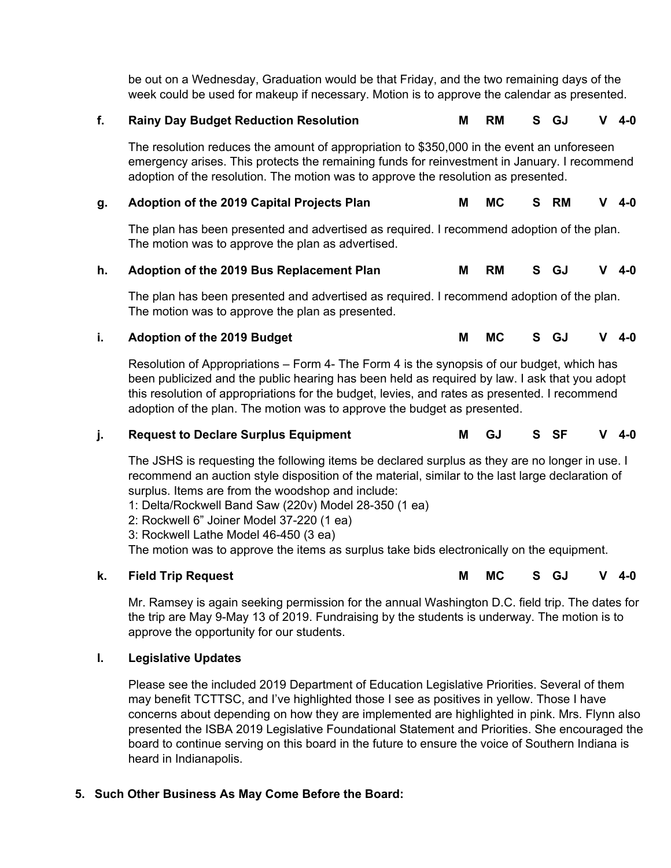be out on a Wednesday, Graduation would be that Friday, and the two remaining days of the week could be used for makeup if necessary. Motion is to approve the calendar as presented.

#### **f. Rainy Day Budget Reduction Resolution M RM S GJ V 4-0**

The resolution reduces the amount of appropriation to \$350,000 in the event an unforeseen emergency arises. This protects the remaining funds for reinvestment in January. I recommend adoption of the resolution. The motion was to approve the resolution as presented.

# **g. Adoption of the 2019 Capital Projects Plan M MC S RM V 4-0**

The plan has been presented and advertised as required. I recommend adoption of the plan. The motion was to approve the plan as advertised.

#### **h. Adoption of the 2019 Bus Replacement Plan M RM S GJ V 4-0**

The plan has been presented and advertised as required. I recommend adoption of the plan. The motion was to approve the plan as presented.

#### **i. Adoption of the 2019 Budget M MC S GJ V 4-0**

Resolution of Appropriations – Form 4- The Form 4 is the synopsis of our budget, which has been publicized and the public hearing has been held as required by law. I ask that you adopt this resolution of appropriations for the budget, levies, and rates as presented. I recommend adoption of the plan. The motion was to approve the budget as presented.

#### **j. Request to Declare Surplus Equipment M GJ S SF V 4-0**

The JSHS is requesting the following items be declared surplus as they are no longer in use. I recommend an auction style disposition of the material, similar to the last large declaration of surplus. Items are from the woodshop and include:

1: Delta/Rockwell Band Saw (220v) Model 28-350 (1 ea)

- 2: Rockwell 6" Joiner Model 37-220 (1 ea)
- 3: Rockwell Lathe Model 46-450 (3 ea)

The motion was to approve the items as surplus take bids electronically on the equipment.

#### **k. Field Trip Request M MC S GJ V 4-0**

Mr. Ramsey is again seeking permission for the annual Washington D.C. field trip. The dates for the trip are May 9-May 13 of 2019. Fundraising by the students is underway. The motion is to approve the opportunity for our students.

#### **l. Legislative Updates**

Please see the included 2019 Department of Education Legislative Priorities. Several of them may benefit TCTTSC, and I've highlighted those I see as positives in yellow. Those I have concerns about depending on how they are implemented are highlighted in pink. Mrs. Flynn also presented the ISBA 2019 Legislative Foundational Statement and Priorities. She encouraged the board to continue serving on this board in the future to ensure the voice of Southern Indiana is heard in Indianapolis.

#### **5. Such Other Business As May Come Before the Board:**